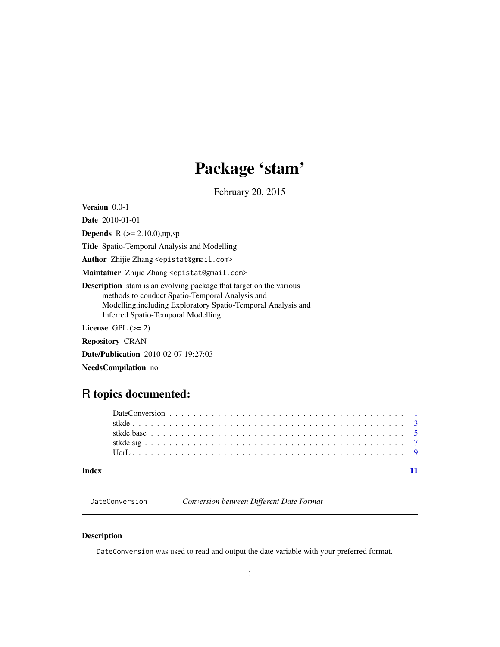# Package 'stam'

February 20, 2015

<span id="page-0-0"></span>Version 0.0-1

Date 2010-01-01

**Depends** R  $(>= 2.10.0)$ ,np,sp

Title Spatio-Temporal Analysis and Modelling

Author Zhijie Zhang <epistat@gmail.com>

Maintainer Zhijie Zhang <epistat@gmail.com>

Description stam is an evolving package that target on the various methods to conduct Spatio-Temporal Analysis and Modelling,including Exploratory Spatio-Temporal Analysis and Inferred Spatio-Temporal Modelling.

License GPL  $(>= 2)$ 

Repository CRAN

Date/Publication 2010-02-07 19:27:03

NeedsCompilation no

# R topics documented:

| Index |  |
|-------|--|

DateConversion *Conversion between Different Date Format*

# Description

DateConversion was used to read and output the date variable with your preferred format.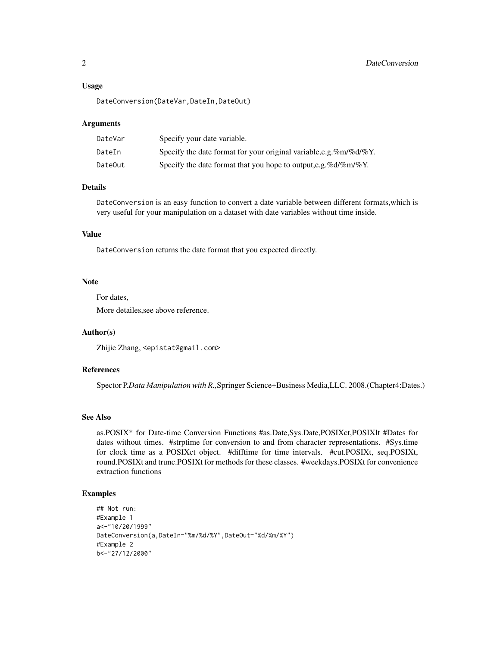#### Usage

DateConversion(DateVar,DateIn,DateOut)

#### Arguments

| DateVar | Specify your date variable.                                           |
|---------|-----------------------------------------------------------------------|
| DateIn  | Specify the date format for your original variable, e.g. %m/%d/%Y.    |
| DateOut | Specify the date format that you hope to output, e.g. % $d/\%m/\%Y$ . |

#### Details

DateConversion is an easy function to convert a date variable between different formats,which is very useful for your manipulation on a dataset with date variables without time inside.

# Value

DateConversion returns the date format that you expected directly.

### Note

For dates,

More detailes,see above reference.

# Author(s)

Zhijie Zhang, <epistat@gmail.com>

### References

Spector P.*Data Manipulation with R.,*Springer Science+Business Media,LLC. 2008.(Chapter4:Dates.)

# See Also

as.POSIX\* for Date-time Conversion Functions #as.Date,Sys.Date,POSIXct,POSIXlt #Dates for dates without times. #strptime for conversion to and from character representations. #Sys.time for clock time as a POSIXct object. #difftime for time intervals. #cut.POSIXt, seq.POSIXt, round.POSIXt and trunc.POSIXt for methods for these classes. #weekdays.POSIXt for convenience extraction functions

```
## Not run:
#Example 1
a<-"10/20/1999"
DateConversion(a,DateIn="%m/%d/%Y",DateOut="%d/%m/%Y")
#Example 2
b<-"27/12/2000"
```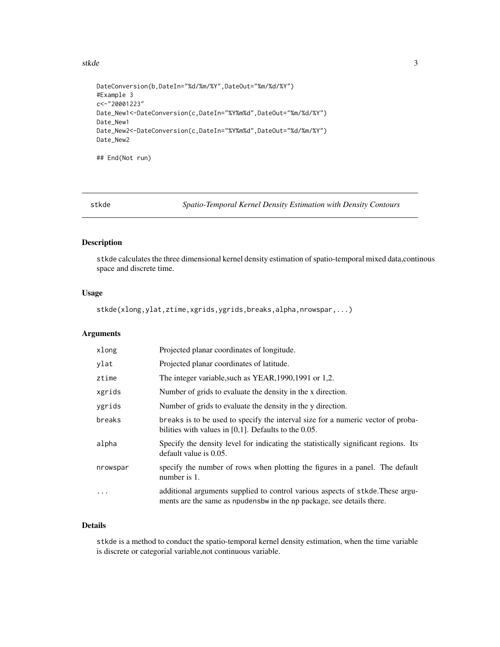<span id="page-2-0"></span>stkde 3

```
DateConversion(b,DateIn="%d/%m/%Y",DateOut="%m/%d/%Y")
#Example 3
c<-"20001223"
Date_New1<-DateConversion(c,DateIn="%Y%m%d",DateOut="%m/%d/%Y")
Date_New1
Date_New2<-DateConversion(c,DateIn="%Y%m%d",DateOut="%d/%m/%Y")
Date_New2
```
## End(Not run)

stkde *Spatio-Temporal Kernel Density Estimation with Density Contours*

# Description

stkde calculates the three dimensional kernel density estimation of spatio-temporal mixed data,continous space and discrete time.

# Usage

stkde(xlong,ylat,ztime,xgrids,ygrids,breaks,alpha,nrowspar,...)

#### Arguments

| xlong     | Projected planar coordinates of longitude.                                                                                                               |
|-----------|----------------------------------------------------------------------------------------------------------------------------------------------------------|
| ylat      | Projected planar coordinates of latitude.                                                                                                                |
| ztime     | The integer variable, such as YEAR, 1990, 1991 or 1,2.                                                                                                   |
| xgrids    | Number of grids to evaluate the density in the x direction.                                                                                              |
| ygrids    | Number of grids to evaluate the density in the y direction.                                                                                              |
| breaks    | breaks is to be used to specify the interval size for a numeric vector of proba-<br>bilities with values in $[0,1]$ . Defaults to the 0.05.              |
| alpha     | Specify the density level for indicating the statistically significant regions. Its<br>default value is 0.05.                                            |
| nrowspar  | specify the number of rows when plotting the figures in a panel. The default<br>number is 1.                                                             |
| $\ddotsc$ | additional arguments supplied to control various aspects of stkde. These argu-<br>ments are the same as npudens bw in the np package, see details there. |

# Details

stkde is a method to conduct the spatio-temporal kernel density estimation, when the time variable is discrete or categorial variable,not continuous variable.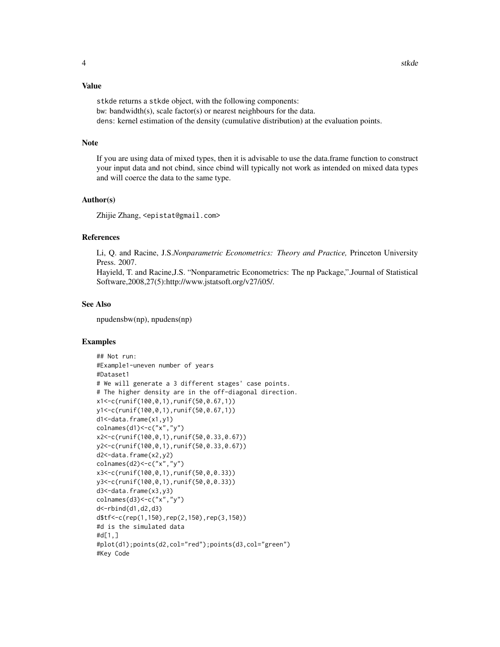#### Value

stkde returns a stkde object, with the following components: bw: bandwidth(s), scale factor(s) or nearest neighbours for the data. dens: kernel estimation of the density (cumulative distribution) at the evaluation points.

#### Note

If you are using data of mixed types, then it is advisable to use the data.frame function to construct your input data and not cbind, since cbind will typically not work as intended on mixed data types and will coerce the data to the same type.

#### Author(s)

Zhijie Zhang, <epistat@gmail.com>

# References

Li, Q. and Racine, J.S.*Nonparametric Econometrics: Theory and Practice,* Princeton University Press. 2007.

Hayield, T. and Racine,J.S. "Nonparametric Econometrics: The np Package,".Journal of Statistical Software,2008,27(5):http://www.jstatsoft.org/v27/i05/.

#### See Also

npudensbw(np), npudens(np)

```
## Not run:
#Example1-uneven number of years
#Dataset1
# We will generate a 3 different stages' case points.
# The higher density are in the off-diagonal direction.
x1<-c(runif(100,0,1),runif(50,0.67,1))
y1<-c(runif(100,0,1),runif(50,0.67,1))
d1<-data.frame(x1,y1)
colnames(d1)<-c("x","y")
x2<-c(runif(100,0,1),runif(50,0.33,0.67))
y2<-c(runif(100,0,1),runif(50,0.33,0.67))
d2<-data.frame(x2,y2)
colnames(d2)<-c("x","y")
x3<-c(runif(100,0,1),runif(50,0,0.33))
y3<-c(runif(100,0,1),runif(50,0,0.33))
d3<-data.frame(x3,y3)
colnames(d3)<-c("x","y")
d<-rbind(d1,d2,d3)
d$tf<-c(rep(1,150),rep(2,150),rep(3,150))
#d is the simulated data
#d[1,]
#plot(d1);points(d2,col="red");points(d3,col="green")
#Key Code
```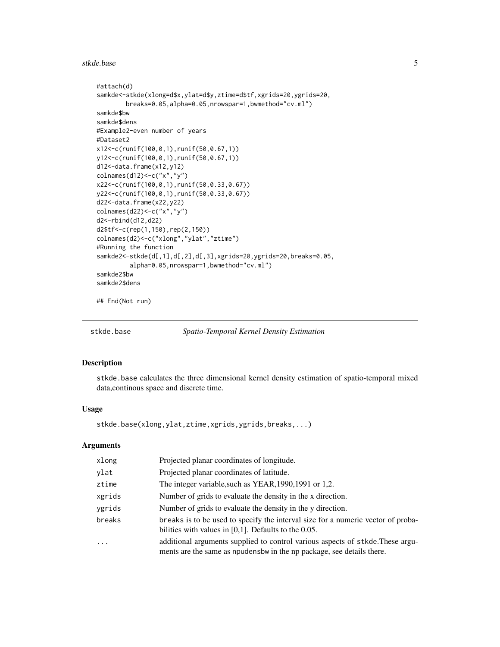#### <span id="page-4-0"></span>stkde.base 5

```
#attach(d)
samkde<-stkde(xlong=d$x,ylat=d$y,ztime=d$tf,xgrids=20,ygrids=20,
        breaks=0.05,alpha=0.05,nrowspar=1,bwmethod="cv.ml")
samkde$bw
samkde$dens
#Example2-even number of years
#Dataset2
x12<-c(runif(100,0,1),runif(50,0.67,1))
y12<-c(runif(100,0,1),runif(50,0.67,1))
d12<-data.frame(x12,y12)
colnames(d12)<-c("x","y")
x22<-c(runif(100,0,1),runif(50,0.33,0.67))
y22<-c(runif(100,0,1),runif(50,0.33,0.67))
d22<-data.frame(x22,y22)
colnames(d22)<-c("x","y")
d2<-rbind(d12,d22)
d2$tf<-c(rep(1,150),rep(2,150))
colnames(d2)<-c("xlong","ylat","ztime")
#Running the function
samkde2<-stkde(d[,1],d[,2],d[,3],xgrids=20,ygrids=20,breaks=0.05,
         alpha=0.05,nrowspar=1,bwmethod="cv.ml")
samkde2$bw
samkde2$dens
```
## End(Not run)

stkde.base *Spatio-Temporal Kernel Density Estimation*

#### Description

stkde.base calculates the three dimensional kernel density estimation of spatio-temporal mixed data,continous space and discrete time.

#### Usage

stkde.base(xlong,ylat,ztime,xgrids,ygrids,breaks,...)

#### Arguments

| xlong     | Projected planar coordinates of longitude.                                                                                                              |
|-----------|---------------------------------------------------------------------------------------------------------------------------------------------------------|
| ylat      | Projected planar coordinates of latitude.                                                                                                               |
| ztime     | The integer variable, such as YEAR, 1990, 1991 or 1,2.                                                                                                  |
| xgrids    | Number of grids to evaluate the density in the x direction.                                                                                             |
| ygrids    | Number of grids to evaluate the density in the y direction.                                                                                             |
| breaks    | breaks is to be used to specify the interval size for a numeric vector of proba-<br>bilities with values in $[0,1]$ . Defaults to the 0.05.             |
| $\ddotsc$ | additional arguments supplied to control various aspects of stkde. These argu-<br>ments are the same as npudensbw in the np package, see details there. |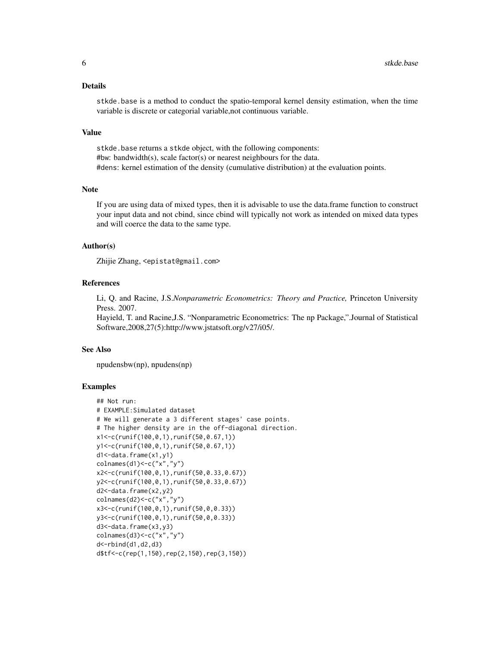#### Details

stkde.base is a method to conduct the spatio-temporal kernel density estimation, when the time variable is discrete or categorial variable,not continuous variable.

#### Value

stkde.base returns a stkde object, with the following components: #bw: bandwidth(s), scale factor(s) or nearest neighbours for the data. #dens: kernel estimation of the density (cumulative distribution) at the evaluation points.

# Note

If you are using data of mixed types, then it is advisable to use the data.frame function to construct your input data and not cbind, since cbind will typically not work as intended on mixed data types and will coerce the data to the same type.

### Author(s)

Zhijie Zhang, <epistat@gmail.com>

# References

Li, Q. and Racine, J.S.*Nonparametric Econometrics: Theory and Practice,* Princeton University Press. 2007.

Hayield, T. and Racine,J.S. "Nonparametric Econometrics: The np Package,".Journal of Statistical Software,2008,27(5):http://www.jstatsoft.org/v27/i05/.

#### See Also

npudensbw(np), npudens(np)

```
## Not run:
# EXAMPLE:Simulated dataset
# We will generate a 3 different stages' case points.
# The higher density are in the off-diagonal direction.
x1<-c(runif(100,0,1),runif(50,0.67,1))
y1<-c(runif(100,0,1),runif(50,0.67,1))
d1<-data.frame(x1,y1)
colnames(d1) <- c("x","y")
x2<-c(runif(100,0,1),runif(50,0.33,0.67))
y2<-c(runif(100,0,1),runif(50,0.33,0.67))
d2<-data.frame(x2,y2)
colnames(d2)<-c("x","y")
x3<-c(runif(100,0,1),runif(50,0,0.33))
y3<-c(runif(100,0,1),runif(50,0,0.33))
d3<-data.frame(x3,y3)
colnames(d3)<-c("x","y")
d<-rbind(d1,d2,d3)
d$tf<-c(rep(1,150),rep(2,150),rep(3,150))
```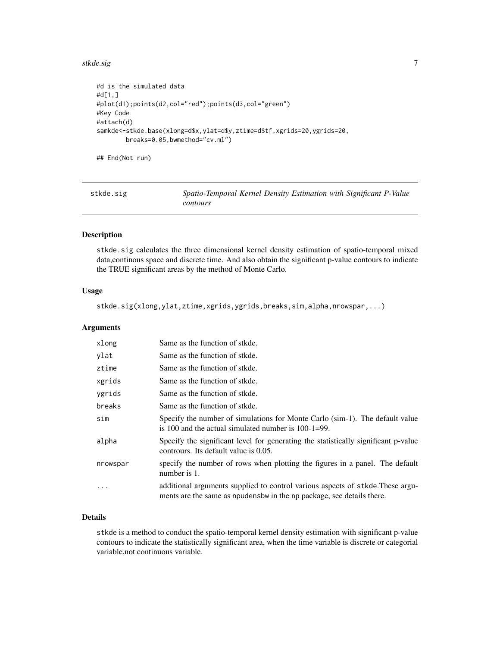#### <span id="page-6-0"></span>stkde.sig **7**

```
#d is the simulated data
#d[1,]
#plot(d1);points(d2,col="red");points(d3,col="green")
#Key Code
#attach(d)
samkde<-stkde.base(xlong=d$x,ylat=d$y,ztime=d$tf,xgrids=20,ygrids=20,
       breaks=0.05,bwmethod="cv.ml")
```
## End(Not run)

| stkde.sig | Spatio-Temporal Kernel Density Estimation with Significant P-Value |  |  |
|-----------|--------------------------------------------------------------------|--|--|
|           | contours                                                           |  |  |

# Description

stkde.sig calculates the three dimensional kernel density estimation of spatio-temporal mixed data,continous space and discrete time. And also obtain the significant p-value contours to indicate the TRUE significant areas by the method of Monte Carlo.

#### Usage

stkde.sig(xlong,ylat,ztime,xgrids,ygrids,breaks,sim,alpha,nrowspar,...)

### Arguments

| xlong    | Same as the function of stkde.                                                                                                                           |
|----------|----------------------------------------------------------------------------------------------------------------------------------------------------------|
| ylat     | Same as the function of stkde.                                                                                                                           |
| ztime    | Same as the function of stkde.                                                                                                                           |
| xgrids   | Same as the function of stkde.                                                                                                                           |
| ygrids   | Same as the function of stkde.                                                                                                                           |
| breaks   | Same as the function of stkde.                                                                                                                           |
| sim      | Specify the number of simulations for Monte Carlo (sim-1). The default value<br>is 100 and the actual simulated number is $100-1=99$ .                   |
| alpha    | Specify the significant level for generating the statistically significant p-value<br>contrours. Its default value is 0.05.                              |
| nrowspar | specify the number of rows when plotting the figures in a panel. The default<br>number is 1.                                                             |
| .        | additional arguments supplied to control various aspects of stkde. These argu-<br>ments are the same as npudens bw in the np package, see details there. |

# Details

stkde is a method to conduct the spatio-temporal kernel density estimation with significant p-value contours to indicate the statistically significant area, when the time variable is discrete or categorial variable,not continuous variable.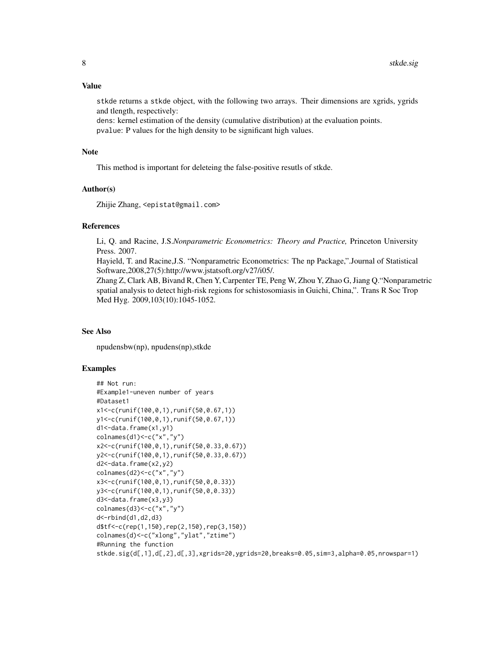stkde returns a stkde object, with the following two arrays. Their dimensions are xgrids, ygrids and tlength, respectively:

dens: kernel estimation of the density (cumulative distribution) at the evaluation points. pvalue: P values for the high density to be significant high values.

### Note

This method is important for deleteing the false-positive resutls of stkde.

#### Author(s)

Zhijie Zhang, <epistat@gmail.com>

#### References

Li, Q. and Racine, J.S.*Nonparametric Econometrics: Theory and Practice,* Princeton University Press. 2007.

Hayield, T. and Racine,J.S. "Nonparametric Econometrics: The np Package,".Journal of Statistical Software,2008,27(5):http://www.jstatsoft.org/v27/i05/.

Zhang Z, Clark AB, Bivand R, Chen Y, Carpenter TE, Peng W, Zhou Y, Zhao G, Jiang Q."Nonparametric spatial analysis to detect high-risk regions for schistosomiasis in Guichi, China,". Trans R Soc Trop Med Hyg. 2009,103(10):1045-1052.

#### See Also

npudensbw(np), npudens(np),stkde

```
## Not run:
#Example1-uneven number of years
#Dataset1
x1<-c(runif(100,0,1),runif(50,0.67,1))
y1<-c(runif(100,0,1),runif(50,0.67,1))
d1<-data.frame(x1,y1)
colnames(d1) <- c("x","y")
x2<-c(runif(100,0,1),runif(50,0.33,0.67))
y2<-c(runif(100,0,1),runif(50,0.33,0.67))
d2<-data.frame(x2,y2)
colnames(d2)<-c("x","y")
x3<-c(runif(100,0,1),runif(50,0,0.33))
y3<-c(runif(100,0,1),runif(50,0,0.33))
d3<-data.frame(x3,y3)
colnames(d3)<-c("x","y")
d<-rbind(d1,d2,d3)
d$tf<-c(rep(1,150),rep(2,150),rep(3,150))
colnames(d)<-c("xlong","ylat","ztime")
#Running the function
stkde.sig(d[,1],d[,2],d[,3],xgrids=20,ygrids=20,breaks=0.05,sim=3,alpha=0.05,nrowspar=1)
```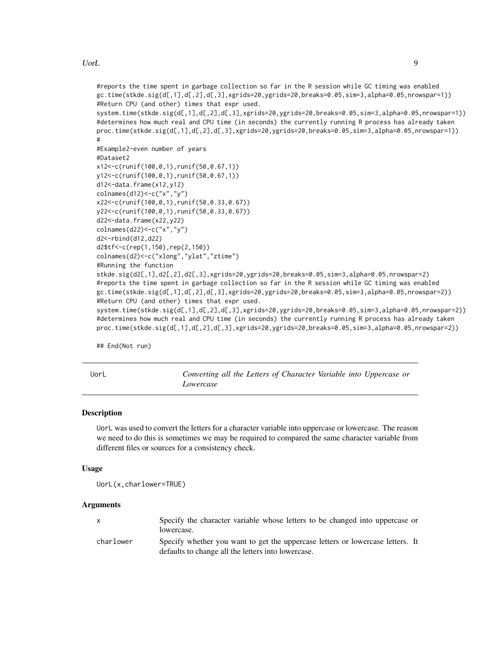<span id="page-8-0"></span>UorL 9

```
#reports the time spent in garbage collection so far in the R session while GC timing was enabled
gc.time(stkde.sig(d[,1],d[,2],d[,3],xgrids=20,ygrids=20,breaks=0.05,sim=3,alpha=0.05,nrowspar=1))
#Return CPU (and other) times that expr used.
system.time(stkde.sig(d[,1],d[,2],d[,3],xgrids=20,ygrids=20,breaks=0.05,sim=3,alpha=0.05,nrowspar=1))
#determines how much real and CPU time (in seconds) the currently running R process has already taken
proc.time(stkde.sig(d[,1],d[,2],d[,3],xgrids=20,ygrids=20,breaks=0.05,sim=3,alpha=0.05,nrowspar=1))
#
#Example2-even number of years
#Dataset2
x12<-c(runif(100,0,1),runif(50,0.67,1))
y12<-c(runif(100,0,1),runif(50,0.67,1))
d12<-data.frame(x12,y12)
colnames(d12)<-c("x","y")
x22<-c(runif(100,0,1),runif(50,0.33,0.67))
y22<-c(runif(100,0,1),runif(50,0.33,0.67))
d22<-data.frame(x22,y22)
colnames(d22)<-c("x","y")
d2<-rbind(d12,d22)
d2$tf<-c(rep(1,150),rep(2,150))
colnames(d2)<-c("xlong","ylat","ztime")
#Running the function
stkde.sig(d2[,1],d2[,2],d2[,3],xgrids=20,ygrids=20,breaks=0.05,sim=3,alpha=0.05,nrowspar=2)
#reports the time spent in garbage collection so far in the R session while GC timing was enabled
gc.time(stkde.sig(d[,1],d[,2],d[,3],xgrids=20,ygrids=20,breaks=0.05,sim=3,alpha=0.05,nrowspar=2))
#Return CPU (and other) times that expr used.
system.time(stkde.sig(d[,1],d[,2],d[,3],xgrids=20,ygrids=20,breaks=0.05,sim=3,alpha=0.05,nrowspar=2))
#determines how much real and CPU time (in seconds) the currently running R process has already taken
proc.time(stkde.sig(d[,1],d[,2],d[,3],xgrids=20,ygrids=20,breaks=0.05,sim=3,alpha=0.05,nrowspar=2))
```
## End(Not run)

UorL *Converting all the Letters of Character Variable into Uppercase or Lowercase*

#### Description

UorL was used to convert the letters for a character variable into uppercase or lowercase. The reason we need to do this is sometimes we may be required to compared the same character variable from different files or sources for a consistency check.

#### Usage

```
UorL(x,charlower=TRUE)
```
#### Arguments

|           | Specify the character variable whose letters to be changed into uppercase or<br>lowercase.                                           |  |
|-----------|--------------------------------------------------------------------------------------------------------------------------------------|--|
| charlower | Specify whether you want to get the uppercase letters or lowercase letters. It<br>defaults to change all the letters into lowercase. |  |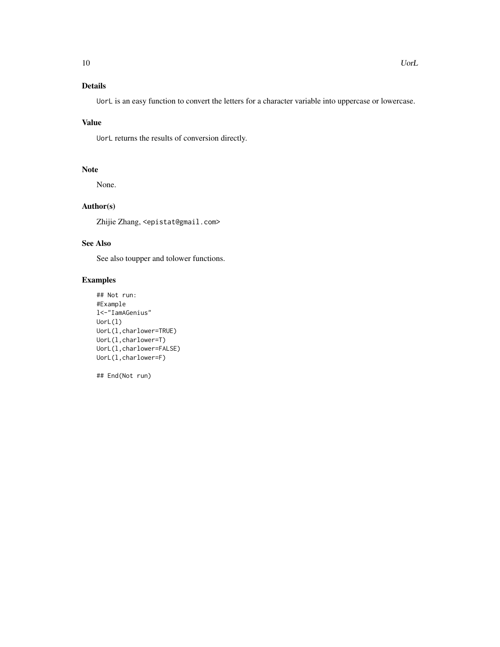UorL is an easy function to convert the letters for a character variable into uppercase or lowercase.

## Value

UorL returns the results of conversion directly.

# Note

None.

# Author(s)

Zhijie Zhang, <epistat@gmail.com>

# See Also

See also toupper and tolower functions.

# Examples

```
## Not run:
#Example
l<-"IamAGenius"
UorL(l)
UorL(l,charlower=TRUE)
UorL(l,charlower=T)
UorL(l,charlower=FALSE)
UorL(l,charlower=F)
```
## End(Not run)